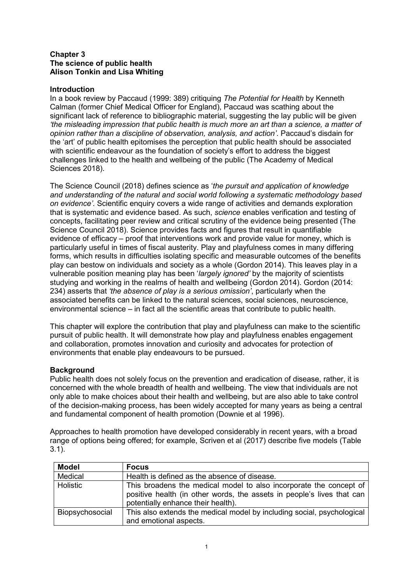### **Chapter 3 The science of public health Alison Tonkin and Lisa Whiting**

## **Introduction**

In a book review by Paccaud (1999: 389) critiquing *The Potential for Health* by Kenneth Calman (former Chief Medical Officer for England), Paccaud was scathing about the significant lack of reference to bibliographic material, suggesting the lay public will be given *'the misleading impression that public health is much more an art than a science, a matter of opinion rather than a discipline of observation, analysis, and action'*. Paccaud's disdain for the 'art' of public health epitomises the perception that public health should be associated with scientific endeavour as the foundation of society's effort to address the biggest challenges linked to the health and wellbeing of the public (The Academy of Medical Sciences 2018).

The Science Council (2018) defines science as '*the pursuit and application of knowledge and understanding of the natural and social world following a systematic methodology based on evidence'*. Scientific enquiry covers a wide range of activities and demands exploration that is systematic and evidence based. As such, *science* enables verification and testing of concepts, facilitating peer review and critical scrutiny of the evidence being presented (The Science Council 2018). Science provides facts and figures that result in quantifiable evidence of efficacy – proof that interventions work and provide value for money, which is particularly useful in times of fiscal austerity. Play and playfulness comes in many differing forms, which results in difficulties isolating specific and measurable outcomes of the benefits play can bestow on individuals and society as a whole (Gordon 2014). This leaves play in a vulnerable position meaning play has been '*largely ignored'* by the majority of scientists studying and working in the realms of health and wellbeing (Gordon 2014). Gordon (2014: 234) asserts that *'the absence of play is a serious omission'*, particularly when the associated benefits can be linked to the natural sciences, social sciences, neuroscience, environmental science – in fact all the scientific areas that contribute to public health.

This chapter will explore the contribution that play and playfulness can make to the scientific pursuit of public health. It will demonstrate how play and playfulness enables engagement and collaboration, promotes innovation and curiosity and advocates for protection of environments that enable play endeavours to be pursued.

### **Background**

Public health does not solely focus on the prevention and eradication of disease, rather, it is concerned with the whole breadth of health and wellbeing. The view that individuals are not only able to make choices about their health and wellbeing, but are also able to take control of the decision-making process, has been widely accepted for many years as being a central and fundamental component of health promotion (Downie et al 1996).

Approaches to health promotion have developed considerably in recent years, with a broad range of options being offered; for example, Scriven et al (2017) describe five models (Table 3.1).

| <b>Model</b>    | <b>Focus</b>                                                                                                                                                                       |
|-----------------|------------------------------------------------------------------------------------------------------------------------------------------------------------------------------------|
| Medical         | Health is defined as the absence of disease.                                                                                                                                       |
| Holistic        | This broadens the medical model to also incorporate the concept of<br>positive health (in other words, the assets in people's lives that can<br>potentially enhance their health). |
| Biopsychosocial | This also extends the medical model by including social, psychological<br>and emotional aspects.                                                                                   |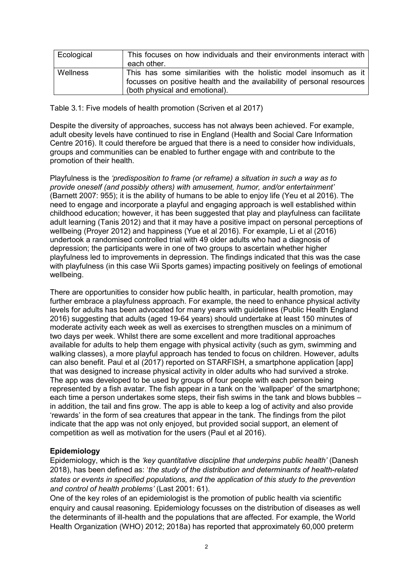| Ecological      | This focuses on how individuals and their environments interact with   |
|-----------------|------------------------------------------------------------------------|
|                 | each other.                                                            |
| <b>Wellness</b> | This has some similarities with the holistic model insomuch as it      |
|                 | focusses on positive health and the availability of personal resources |
|                 | (both physical and emotional).                                         |

Table 3.1: Five models of health promotion (Scriven et al 2017)

Despite the diversity of approaches, success has not always been achieved. For example, adult obesity levels have continued to rise in England (Health and Social Care Information Centre 2016). It could therefore be argued that there is a need to consider how individuals, groups and communities can be enabled to further engage with and contribute to the promotion of their health.

Playfulness is the *'predisposition to frame (or reframe) a situation in such a way as to provide oneself (and possibly others) with amusement, humor, and/or entertainment'*  (Barnett 2007: 955); it is the ability of humans to be able to enjoy life (Yeu et al 2016). The need to engage and incorporate a playful and engaging approach is well established within childhood education; however, it has been suggested that play and playfulness can facilitate adult learning (Tanis 2012) and that it may have a positive impact on personal perceptions of wellbeing (Proyer 2012) and happiness (Yue et al 2016). For example, Li et al (2016) undertook a randomised controlled trial with 49 older adults who had a diagnosis of depression; the participants were in one of two groups to ascertain whether higher playfulness led to improvements in depression. The findings indicated that this was the case with playfulness (in this case Wii Sports games) impacting positively on feelings of emotional wellbeing.

There are opportunities to consider how public health, in particular, health promotion, may further embrace a playfulness approach. For example, the need to enhance physical activity levels for adults has been advocated for many years with guidelines (Public Health England 2016) suggesting that adults (aged 19-64 years) should undertake at least 150 minutes of moderate activity each week as well as exercises to strengthen muscles on a minimum of two days per week. Whilst there are some excellent and more traditional approaches available for adults to help them engage with physical activity (such as gym, swimming and walking classes), a more playful approach has tended to focus on children. However, adults can also benefit. Paul et al (2017) reported on STARFISH, a smartphone application [app] that was designed to increase physical activity in older adults who had survived a stroke. The app was developed to be used by groups of four people with each person being represented by a fish avatar. The fish appear in a tank on the 'wallpaper' of the smartphone; each time a person undertakes some steps, their fish swims in the tank and blows bubbles – in addition, the tail and fins grow. The app is able to keep a log of activity and also provide 'rewards' in the form of sea creatures that appear in the tank. The findings from the pilot indicate that the app was not only enjoyed, but provided social support, an element of competition as well as motivation for the users (Paul et al 2016).

### **Epidemiology**

Epidemiology, which is the *'key quantitative discipline that underpins public health'* (Danesh 2018), has been defined as: '*the study of the distribution and determinants of health-related states or events in specified populations, and the application of this study to the prevention and control of health problems'* (Last 2001: 61).

One of the key roles of an epidemiologist is the promotion of public health via scientific enquiry and causal reasoning. Epidemiology focusses on the distribution of diseases as well the determinants of ill-health and the populations that are affected. For example, the World Health Organization (WHO) 2012; 2018a) has reported that approximately 60,000 preterm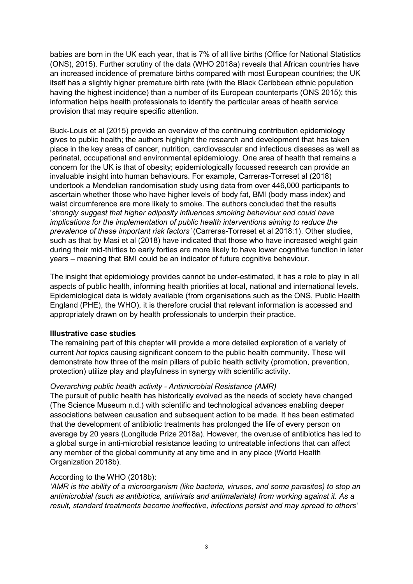babies are born in the UK each year, that is 7% of all live births (Office for National Statistics (ONS), 2015). Further scrutiny of the data (WHO 2018a) reveals that African countries have an increased incidence of premature births compared with most European countries; the UK itself has a slightly higher premature birth rate (with the Black Caribbean ethnic population having the highest incidence) than a number of its European counterparts (ONS 2015); this information helps health professionals to identify the particular areas of health service provision that may require specific attention.

Buck-Louis et al (2015) provide an overview of the continuing contribution epidemiology gives to public health; the authors highlight the research and development that has taken place in the key areas of cancer, nutrition, cardiovascular and infectious diseases as well as perinatal, occupational and environmental epidemiology. One area of health that remains a concern for the UK is that of obesity; epidemiologically focussed research can provide an invaluable insight into human behaviours. For example, Carreras-Torreset al (2018) undertook a Mendelian randomisation study using data from over 446,000 participants to ascertain whether those who have higher levels of body fat, BMI (body mass index) and waist circumference are more likely to smoke. The authors concluded that the results '*strongly suggest that higher adiposity influences smoking behaviour and could have implications for the implementation of public health interventions aiming to reduce the prevalence of these important risk factors'* (Carreras-Torreset et al 2018:1). Other studies, such as that by Masi et al (2018) have indicated that those who have increased weight gain during their mid-thirties to early forties are more likely to have lower cognitive function in later years – meaning that BMI could be an indicator of future cognitive behaviour.

The insight that epidemiology provides cannot be under-estimated, it has a role to play in all aspects of public health, informing health priorities at local, national and international levels. Epidemiological data is widely available (from organisations such as the ONS, Public Health England (PHE), the WHO), it is therefore crucial that relevant information is accessed and appropriately drawn on by health professionals to underpin their practice.

### **Illustrative case studies**

The remaining part of this chapter will provide a more detailed exploration of a variety of current *hot topics* causing significant concern to the public health community. These will demonstrate how three of the main pillars of public health activity (promotion, prevention, protection) utilize play and playfulness in synergy with scientific activity.

### *Overarching public health activity - Antimicrobial Resistance (AMR)*

The pursuit of public health has historically evolved as the needs of society have changed (The Science Museum n.d.) with scientific and technological advances enabling deeper associations between causation and subsequent action to be made. It has been estimated that the development of antibiotic treatments has prolonged the life of every person on average by 20 years (Longitude Prize 2018a). However, the overuse of antibiotics has led to a global surge in anti-microbial resistance leading to untreatable infections that can affect any member of the global community at any time and in any place (World Health Organization 2018b).

#### According to the WHO (2018b):

*'AMR is the ability of a microorganism (like bacteria, viruses, and some parasites) to stop an antimicrobial (such as antibiotics, antivirals and antimalarials) from working against it. As a result, standard treatments become ineffective, infections persist and may spread to others'*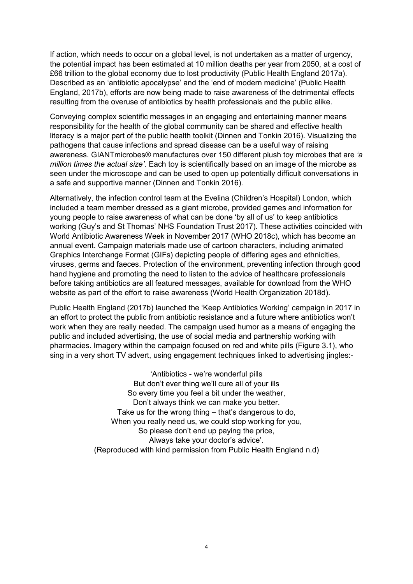If action, which needs to occur on a global level, is not undertaken as a matter of urgency, the potential impact has been estimated at 10 million deaths per year from 2050, at a cost of £66 trillion to the global economy due to lost productivity (Public Health England 2017a). Described as an 'antibiotic apocalypse' and the 'end of modern medicine' (Public Health England, 2017b), efforts are now being made to raise awareness of the detrimental effects resulting from the overuse of antibiotics by health professionals and the public alike.

Conveying complex scientific messages in an engaging and entertaining manner means responsibility for the health of the global community can be shared and effective health literacy is a major part of the public health toolkit (Dinnen and Tonkin 2016). Visualizing the pathogens that cause infections and spread disease can be a useful way of raising awareness. GIANTmicrobes® manufactures over 150 different plush toy microbes that are *'a million times the actual size'*. Each toy is scientifically based on an image of the microbe as seen under the microscope and can be used to open up potentially difficult conversations in a safe and supportive manner (Dinnen and Tonkin 2016).

Alternatively, the infection control team at the Evelina (Children's Hospital) London, which included a team member dressed as a giant microbe, provided games and information for young people to raise awareness of what can be done 'by all of us' to keep antibiotics working (Guy's and St Thomas' NHS Foundation Trust 2017). These activities coincided with World Antibiotic Awareness Week in November 2017 (WHO 2018c), which has become an annual event. Campaign materials made use of cartoon characters, including animated Graphics Interchange Format (GIFs) depicting people of differing ages and ethnicities, viruses, germs and faeces. Protection of the environment, preventing infection through good hand hygiene and promoting the need to listen to the advice of healthcare professionals before taking antibiotics are all featured messages, available for download from the WHO website as part of the effort to raise awareness (World Health Organization 2018d).

Public Health England (2017b) launched the 'Keep Antibiotics Working' campaign in 2017 in an effort to protect the public from antibiotic resistance and a future where antibiotics won't work when they are really needed. The campaign used humor as a means of engaging the public and included advertising, the use of social media and partnership working with pharmacies. Imagery within the campaign focused on red and white pills (Figure 3.1), who sing in a very short TV advert, using engagement techniques linked to advertising jingles:-

> 'Antibiotics - we're wonderful pills But don't ever thing we'll cure all of your ills So every time you feel a bit under the weather, Don't always think we can make you better. Take us for the wrong thing – that's dangerous to do, When you really need us, we could stop working for you, So please don't end up paying the price, Always take your doctor's advice'. (Reproduced with kind permission from Public Health England n.d)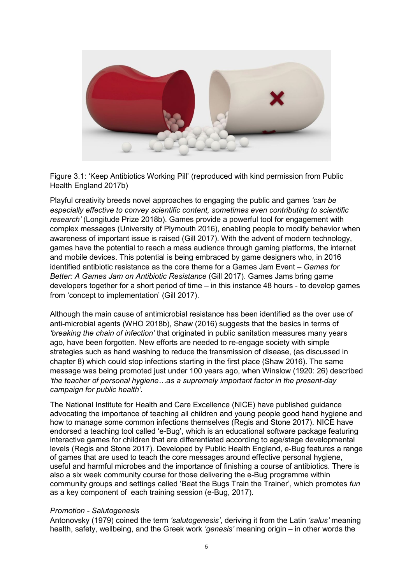

Figure 3.1: 'Keep Antibiotics Working Pill' (reproduced with kind permission from Public Health England 2017b)

Playful creativity breeds novel approaches to engaging the public and games *'can be especially effective to convey scientific content, sometimes even contributing to scientific research'* (Longitude Prize 2018b). Games provide a powerful tool for engagement with complex messages (University of Plymouth 2016), enabling people to modify behavior when awareness of important issue is raised (Gill 2017). With the advent of modern technology, games have the potential to reach a mass audience through gaming platforms, the internet and mobile devices. This potential is being embraced by game designers who, in 2016 identified antibiotic resistance as the core theme for a Games Jam Event – *Games for Better: A Games Jam on Antibiotic Resistance* (Gill 2017). Games Jams bring game developers together for a short period of time – in this instance 48 hours - to develop games from 'concept to implementation' (Gill 2017).

Although the main cause of antimicrobial resistance has been identified as the over use of anti-microbial agents (WHO 2018b), Shaw (2016) suggests that the basics in terms of *'breaking the chain of infection'* that originated in public sanitation measures many years ago, have been forgotten. New efforts are needed to re-engage society with simple strategies such as hand washing to reduce the transmission of disease, (as discussed in chapter 8) which could stop infections starting in the first place (Shaw 2016). The same message was being promoted just under 100 years ago, when Winslow (1920: 26) described *'the teacher of personal hygiene…as a supremely important factor in the present-day campaign for public health'*.

The National Institute for Health and Care Excellence (NICE) have published guidance advocating the importance of teaching all children and young people good hand hygiene and how to manage some common infections themselves (Regis and Stone 2017). NICE have endorsed a teaching tool called 'e-Bug', which is an educational software package featuring interactive games for children that are differentiated according to age/stage developmental levels (Regis and Stone 2017). Developed by Public Health England, e-Bug features a range of games that are used to teach the core messages around effective personal hygiene, useful and harmful microbes and the importance of finishing a course of antibiotics. There is also a six week community course for those delivering the e-Bug programme within community groups and settings called 'Beat the Bugs Train the Trainer', which promotes *fun*  as a key component of each training session (e-Bug, 2017).

#### *Promotion - Salutogenesis*

Antonovsky (1979) coined the term *'salutogenesis'*, deriving it from the Latin *'salus'* meaning health, safety, wellbeing, and the Greek work *'genesis'* meaning origin – in other words the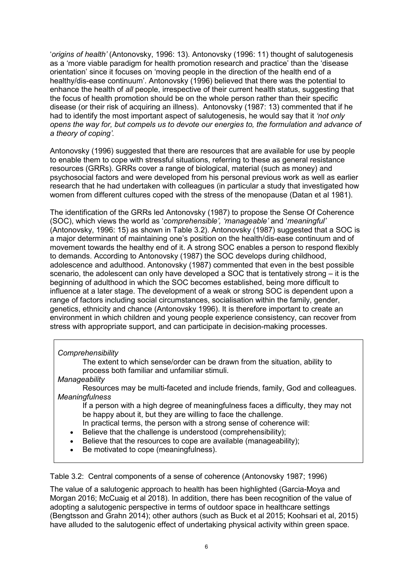'*origins of health'* (Antonovsky, 1996: 13). Antonovsky (1996: 11) thought of salutogenesis as a 'more viable paradigm for health promotion research and practice' than the 'disease orientation' since it focuses on 'moving people in the direction of the health end of a healthy/dis-ease continuum'. Antonovsky (1996) believed that there was the potential to enhance the health of *all* people, irrespective of their current health status, suggesting that the focus of health promotion should be on the whole person rather than their specific disease (or their risk of acquiring an illness). Antonovsky (1987: 13) commented that if he had to identify the most important aspect of salutogenesis, he would say that it *'not only opens the way for, but compels us to devote our energies to, the formulation and advance of a theory of coping'.*

Antonovsky (1996) suggested that there are resources that are available for use by people to enable them to cope with stressful situations, referring to these as general resistance resources (GRRs). GRRs cover a range of biological, material (such as money) and psychosocial factors and were developed from his personal previous work as well as earlier research that he had undertaken with colleagues (in particular a study that investigated how women from different cultures coped with the stress of the menopause (Datan et al 1981).

The identification of the GRRs led Antonovsky (1987) to propose the Sense Of Coherence (SOC), which views the world as '*comprehensible', 'manageable'* and '*meaningful'*  (Antonovsky, 1996: 15) as shown in Table 3.2). Antonovsky (1987) suggested that a SOC is a major determinant of maintaining one's position on the health/dis-ease continuum and of movement towards the healthy end of it. A strong SOC enables a person to respond flexibly to demands. According to Antonovsky (1987) the SOC develops during childhood, adolescence and adulthood. Antonovsky (1987) commented that even in the best possible scenario, the adolescent can only have developed a SOC that is tentatively strong – it is the beginning of adulthood in which the SOC becomes established, being more difficult to influence at a later stage. The development of a weak or strong SOC is dependent upon a range of factors including social circumstances, socialisation within the family, gender, genetics, ethnicity and chance (Antonovsky 1996). It is therefore important to create an environment in which children and young people experience consistency, can recover from stress with appropriate support, and can participate in decision-making processes.

### *Comprehensibility*

The extent to which sense/order can be drawn from the situation, ability to process both familiar and unfamiliar stimuli.

#### *Manageability*

Resources may be multi-faceted and include friends, family, God and colleagues. *Meaningfulness*

If a person with a high degree of meaningfulness faces a difficulty, they may not be happy about it, but they are willing to face the challenge.

In practical terms, the person with a strong sense of coherence will:

- Believe that the challenge is understood (comprehensibility):
- Believe that the resources to cope are available (manageability);
- Be motivated to cope (meaningfulness).

Table 3.2: Central components of a sense of coherence (Antonovsky 1987; 1996)

The value of a salutogenic approach to health has been highlighted (Garcia-Moya and Morgan 2016; McCuaig et al 2018). In addition, there has been recognition of the value of adopting a salutogenic perspective in terms of outdoor space in healthcare settings (Bengtsson and Grahn 2014); other authors (such as Buck et al 2015; Koohsari et al, 2015) have alluded to the salutogenic effect of undertaking physical activity within green space.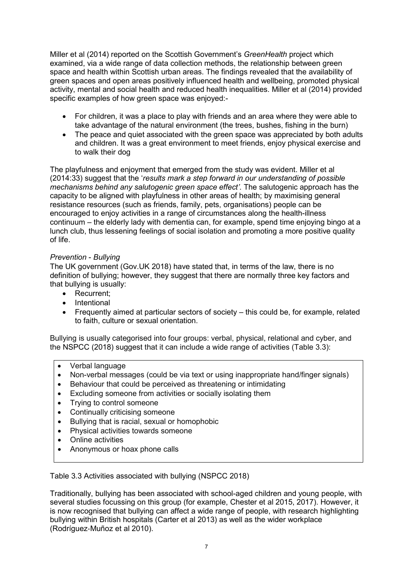Miller et al (2014) reported on the Scottish Government's *GreenHealth* project which examined, via a wide range of data collection methods, the relationship between green space and health within Scottish urban areas. The findings revealed that the availability of green spaces and open areas positively influenced health and wellbeing, promoted physical activity, mental and social health and reduced health inequalities. Miller et al (2014) provided specific examples of how green space was enjoyed:-

- For children, it was a place to play with friends and an area where they were able to take advantage of the natural environment (the trees, bushes, fishing in the burn)
- The peace and quiet associated with the green space was appreciated by both adults and children. It was a great environment to meet friends, enjoy physical exercise and to walk their dog

The playfulness and enjoyment that emerged from the study was evident. Miller et al (2014:33) suggest that the '*results mark a step forward in our understanding of possible mechanisms behind any salutogenic green space effect'*. The salutogenic approach has the capacity to be aligned with playfulness in other areas of health; by maximising general resistance resources (such as friends, family, pets, organisations) people can be encouraged to enjoy activities in a range of circumstances along the health-illness continuum – the elderly lady with dementia can, for example, spend time enjoying bingo at a lunch club, thus lessening feelings of social isolation and promoting a more positive quality of life.

# *Prevention* - *Bullying*

The UK government (Gov.UK 2018) have stated that, in terms of the law, there is no definition of bullying; however, they suggest that there are normally three key factors and that bullying is usually:

- Recurrent;
- Intentional
- Frequently aimed at particular sectors of society this could be, for example, related to faith, culture or sexual orientation.

Bullying is usually categorised into four groups: verbal, physical, relational and cyber, and the NSPCC (2018) suggest that it can include a wide range of activities (Table 3.3):

- Verbal language
- Non-verbal messages (could be via text or using inappropriate hand/finger signals)
- Behaviour that could be perceived as threatening or intimidating
- Excluding someone from activities or socially isolating them
- Trying to control someone
- Continually criticising someone
- Bullying that is racial, sexual or homophobic
- Physical activities towards someone
- Online activities
- Anonymous or hoax phone calls

Table 3.3 Activities associated with bullying (NSPCC 2018)

Traditionally, bullying has been associated with school-aged children and young people, with several studies focussing on this group (for example, Chester et al 2015, 2017). However, it is now recognised that bullying can affect a wide range of people, with research highlighting bullying within British hospitals (Carter et al 2013) as well as the wider workplace [\(Rodríguez](https://onlinelibrary.wiley.com/action/doSearch?ContribAuthorStored=Rodr%C3%ADguez-Mu%C3%B1oz%2C+Alfredo)‐Muñoz et al 2010).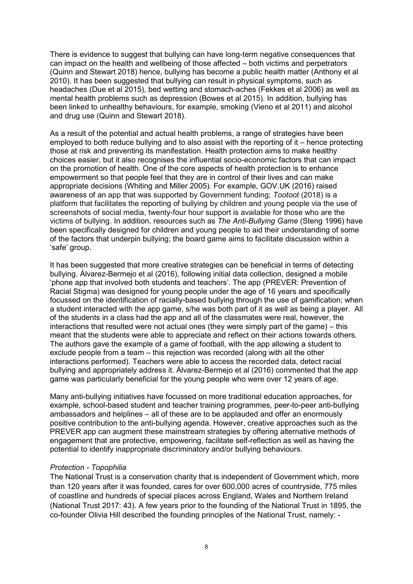There is evidence to suggest that bullying can have long-term negative consequences that can impact on the health and wellbeing of those affected – both victims and perpetrators (Quinn and Stewart 2018) hence, bullying has become a public health matter (Anthony et al 2010). It has been suggested that bullying can result in physical symptoms, such as headaches (Due et al 2015), bed wetting and stomach-aches (Fekkes et al 2006) as well as mental health problems such as depression (Bowes et al 2015). In addition, bullying has been linked to unhealthy behaviours, for example, smoking (Vieno et al 2011) and alcohol and drug use (Quinn and Stewart 2018).

As a result of the potential and actual health problems, a range of strategies have been employed to both reduce bullying and to also assist with the reporting of it – hence protecting those at risk and preventing its manifestation. Health protection aims to make healthy choices easier, but it also recognises the influential socio-economic factors that can impact on the promotion of health. One of the core aspects of health protection is to enhance empowerment so that people feel that they are in control of their lives and can make appropriate decisions (Whiting and Miller 2005). For example, GOV.UK (2016) raised awareness of an app that was supported by Government funding; *Tootoot* (2018) is a platform that facilitates the reporting of bullying by children and young people via the use of screenshots of social media, twenty-four hour support is available for those who are the victims of bullying. In addition, resources such as *The Anti-Bullying Game* (Steng 1996) have been specifically designed for children and young people to aid their understanding of some of the factors that underpin bullying; the board game aims to facilitate discussion within a 'safe' group.

It has been suggested that more creative strategies can be beneficial in terms of detecting bullying. Álvarez-Bermejo et al (2016), following initial data collection, designed a mobile 'phone app that involved both students and teachers'. The app (PREVER: Prevention of Racial Stigma) was designed for young people under the age of 16 years and specifically focussed on the identification of racially-based bullying through the use of gamification; when a student interacted with the app game, s/he was both part of it as well as being a player. All of the students in a class had the app and all of the classmates were real, however, the interactions that resulted were not actual ones (they were simply part of the game) – this meant that the students were able to appreciate and reflect on their actions towards others. The authors gave the example of a game of football, with the app allowing a student to exclude people from a team – this rejection was recorded (along with all the other interactions performed). Teachers were able to access the recorded data, detect racial bullying and appropriately address it. Álvarez-Bermejo et al (2016) commented that the app game was particularly beneficial for the young people who were over 12 years of age.

Many anti-bullying initiatives have focussed on more traditional education approaches, for example, school-based student and teacher training programmes, peer-to-peer anti-bullying ambassadors and helplines – all of these are to be applauded and offer an enormously positive contribution to the anti-bullying agenda. However, creative approaches such as the PREVER app can augment these mainstream strategies by offering alternative methods of engagement that are protective, empowering, facilitate self-reflection as well as having the potential to identify inappropriate discriminatory and/or bullying behaviours.

#### *Protection - Topophilia*

The National Trust is a conservation charity that is independent of Government which, more than 120 years after it was founded, cares for over 600,000 acres of countryside, 775 miles of coastline and hundreds of special places across England, Wales and Northern Ireland (National Trust 2017: 43). A few years prior to the founding of the National Trust in 1895, the co-founder Olivia Hill described the founding principles of the National Trust, namely: -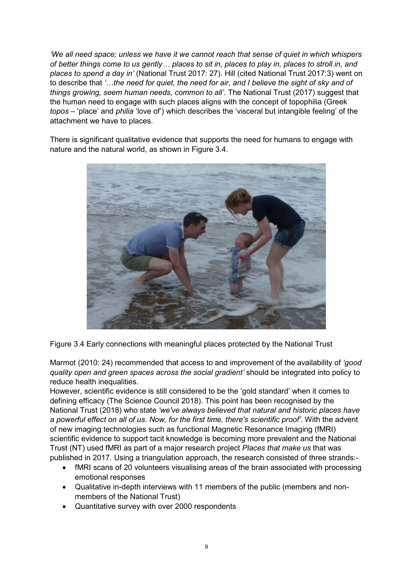*'We all need space; unless we have it we cannot reach that sense of quiet in which whispers of better things come to us gently… places to sit in, places to play in, places to stroll in, and places to spend a day in'* (National Trust 2017: 27). Hill (cited National Trust 2017:3) went on to describe that *'…the need for quiet, the need for air, and I believe the sight of sky and of things growing, seem human needs, common to all'*. The National Trust (2017) suggest that the human need to engage with such places aligns with the concept of topophilia (Greek *topos* – 'place' and *philia* 'love of') which describes the 'visceral but intangible feeling' of the attachment we have to places.

There is significant qualitative evidence that supports the need for humans to engage with nature and the natural world, as shown in Figure 3.4.



Figure 3.4 Early connections with meaningful places protected by the National Trust

Marmot (2010: 24) recommended that access to and improvement of the availability of *'good quality open and green spaces across the social gradient'* should be integrated into policy to reduce health inequalities.

However, scientific evidence is still considered to be the 'gold standard' when it comes to defining efficacy (The Science Council 2018). This point has been recognised by the National Trust (2018) who state *'we've always believed that natural and historic places have a powerful effect on all of us. Now, for the first time, there's scientific proof'*. With the advent of new imaging technologies such as functional Magnetic Resonance Imaging (fMRI) scientific evidence to support tacit knowledge is becoming more prevalent and the National Trust (NT) used fMRI as part of a major research project *Places that make us* that was published in 2017. Using a triangulation approach, the research consisted of three strands:-

- fMRI scans of 20 volunteers visualising areas of the brain associated with processing emotional responses
- Qualitative in-depth interviews with 11 members of the public (members and nonmembers of the National Trust)
- Quantitative survey with over 2000 respondents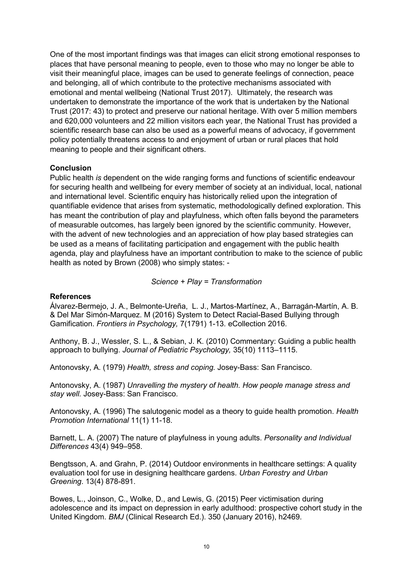One of the most important findings was that images can elicit strong emotional responses to places that have personal meaning to people, even to those who may no longer be able to visit their meaningful place, images can be used to generate feelings of connection, peace and belonging, all of which contribute to the protective mechanisms associated with emotional and mental wellbeing (National Trust 2017). Ultimately, the research was undertaken to demonstrate the importance of the work that is undertaken by the National Trust (2017: 43) to protect and preserve our national heritage. With over 5 million members and 620,000 volunteers and 22 million visitors each year, the National Trust has provided a scientific research base can also be used as a powerful means of advocacy, if government policy potentially threatens access to and enjoyment of urban or rural places that hold meaning to people and their significant others.

#### **Conclusion**

Public health *is* dependent on the wide ranging forms and functions of scientific endeavour for securing health and wellbeing for every member of society at an individual, local, national and international level. Scientific enquiry has historically relied upon the integration of quantifiable evidence that arises from systematic, methodologically defined exploration. This has meant the contribution of play and playfulness, which often falls beyond the parameters of measurable outcomes, has largely been ignored by the scientific community. However, with the advent of new technologies and an appreciation of how play based strategies can be used as a means of facilitating participation and engagement with the public health agenda, play and playfulness have an important contribution to make to the science of public health as noted by Brown (2008) who simply states: -

#### *Science + Play = Transformation*

#### **References**

Álvarez-Bermejo, J. A., [Belmonte-Ureña, L. J.](https://www.ncbi.nlm.nih.gov/pubmed/?term=Belmonte-Ure%C3%B1a%20LJ%5BAuthor%5D&cauthor=true&cauthor_uid=27933006), [Martos-Martínez,](https://www.ncbi.nlm.nih.gov/pubmed/?term=Martos-Mart%C3%ADnez%20A%5BAuthor%5D&cauthor=true&cauthor_uid=27933006) A., [Barragán-Martín,](https://www.ncbi.nlm.nih.gov/pubmed/?term=Barrag%C3%A1n-Mart%C3%ADn%20AB%5BAuthor%5D&cauthor=true&cauthor_uid=27933006) A. B. & [Del Mar Simón-Marquez. M](https://www.ncbi.nlm.nih.gov/pubmed/?term=Del%20Mar%20Sim%C3%B3n-Marquez%20M%5BAuthor%5D&cauthor=true&cauthor_uid=27933006) (2016) System to Detect Racial-Based Bullying through Gamification. *Frontiers in Psychology,* 7(1791) 1-13. eCollection 2016.

Anthony, B. J., Wessler, S. L., & Sebian, J. K. (2010) Commentary: Guiding a public health approach to bullying. *Journal of Pediatric Psychology,* 35(10) 1113–1115.

Antonovsky, A. (1979) *Health, stress and coping.* Josey-Bass: San Francisco.

Antonovsky, A. (1987) *Unravelling the mystery of health. How people manage stress and stay well.* Josey-Bass: San Francisco.

Antonovsky, A. (1996) The salutogenic model as a theory to guide health promotion. *Health Promotion International* 11(1) 11-18.

Barnett, L. A. (2007) The nature of playfulness in young adults. *Personality and Individual Differences* 43(4) 949–958.

Bengtsson, A. and Grahn, P. (2014) Outdoor environments in healthcare settings: A quality evaluation tool for use in designing healthcare gardens. *Urban Forestry and Urban Greening*. 13(4) 878-891.

Bowes, L., Joinson, C., Wolke, D., and Lewis, G. (2015) Peer victimisation during adolescence and its impact on depression in early adulthood: prospective cohort study in the United Kingdom. *BMJ* (Clinical Research Ed.). 350 (January 2016), h2469.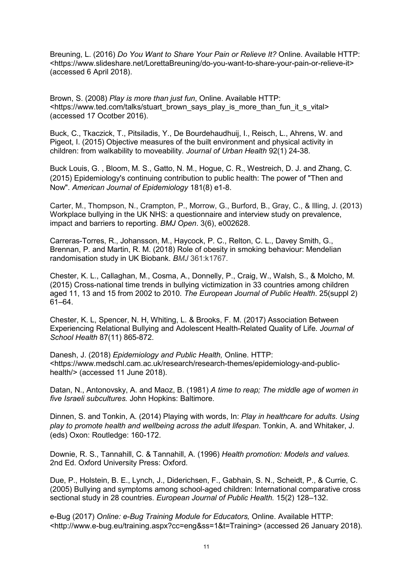Breuning, L. (2016) *Do You Want to Share Your Pain or Relieve It?* Online. Available HTTP: <https://www.slideshare.net/LorettaBreuning/do-you-want-to-share-your-pain-or-relieve-it> (accessed 6 April 2018).

Brown, S. (2008) *Play is more than just fun*, Online. Available HTTP: <https://www.ted.com/talks/stuart\_brown\_says\_play\_is\_more\_than\_fun\_it\_s\_vital> (accessed 17 Ocotber 2016).

Buck, C., Tkaczick, T., Pitsiladis, Y., De Bourdehaudhuij, I., Reisch, L., Ahrens, W. and Pigeot, I. (2015) Objective measures of the built environment and physical activity in children: from walkability to moveability. *Journal of Urban Health* 92(1) 24-38.

[Buck Louis, G. ,](https://www.ncbi.nlm.nih.gov/pubmed/?term=Buck%20Louis%20GM%5BAuthor%5D&cauthor=true&cauthor_uid=25810458) [Bloom, M. S.](https://www.ncbi.nlm.nih.gov/pubmed/?term=Bloom%20MS%5BAuthor%5D&cauthor=true&cauthor_uid=25810458), [Gatto, N. M.](https://www.ncbi.nlm.nih.gov/pubmed/?term=Gatto%20NM%5BAuthor%5D&cauthor=true&cauthor_uid=25810458), [Hogue, C. R.](https://www.ncbi.nlm.nih.gov/pubmed/?term=Hogue%20CR%5BAuthor%5D&cauthor=true&cauthor_uid=25810458), [Westreich, D. J.](https://www.ncbi.nlm.nih.gov/pubmed/?term=Westreich%20DJ%5BAuthor%5D&cauthor=true&cauthor_uid=25810458) and [Zhang, C.](https://www.ncbi.nlm.nih.gov/pubmed/?term=Zhang%20C%5BAuthor%5D&cauthor=true&cauthor_uid=25810458) (2015) Epidemiology's continuing contribution to public health: The power of "Then and Now". *American Journal of Epidemiology* 181(8) e1-8.

Carter, M., Thompson, N., Crampton, P., Morrow, G., Burford, B., Gray, C., & Illing, J. (2013) Workplace bullying in the UK NHS: a questionnaire and interview study on prevalence, impact and barriers to reporting. *BMJ Open*. 3(6), e002628.

Carreras-Torres, R., Johansson, M., Haycock, P. C., Relton, C. L., Davey Smith, G., Brennan, P. and Martin, R. M. (2018) Role of obesity in smoking behaviour: Mendelian randomisation study in UK Biobank. *BMJ* 361:k1767.

Chester, K. L., Callaghan, M., Cosma, A., Donnelly, P., Craig, W., Walsh, S., & Molcho, M. (2015) Cross-national time trends in bullying victimization in 33 countries among children aged 11, 13 and 15 from 2002 to 2010. *The European Journal of Public Health*. 25(suppl 2) 61–64.

[Chester, K. L,](https://www.ncbi.nlm.nih.gov/pubmed/?term=Chester%20KL%5BAuthor%5D&cauthor=true&cauthor_uid=29023838) [Spencer, N. H,](https://www.ncbi.nlm.nih.gov/pubmed/?term=Spencer%20NH%5BAuthor%5D&cauthor=true&cauthor_uid=29023838) [Whiting, L.](https://www.ncbi.nlm.nih.gov/pubmed/?term=Whiting%20L%5BAuthor%5D&cauthor=true&cauthor_uid=29023838) & [Brooks, F. M.](https://www.ncbi.nlm.nih.gov/pubmed/?term=Brooks%20FM%5BAuthor%5D&cauthor=true&cauthor_uid=29023838) (2017) Association Between Experiencing Relational Bullying and Adolescent Health-Related Quality of Life. *Journal of School Health* 87(11) 865-872.

Danesh, J. (2018) *Epidemiology and Public Health,* Online. HTTP: <https://www.medschl.cam.ac.uk/research/research-themes/epidemiology-and-publichealth/> (accessed 11 June 2018).

Datan, N., Antonovsky, A. and Maoz, B. (1981) *A time to reap; The middle age of women in five Israeli subcultures.* John Hopkins: Baltimore.

Dinnen, S. and Tonkin, A. (2014) Playing with words, In: *Play in healthcare for adults*. *Using play to promote health and wellbeing across the adult lifespan.* Tonkin, A. and Whitaker, J. (eds) Oxon: Routledge: 160-172.

Downie, R. S., Tannahill, C. & Tannahill, A. (1996) *Health promotion: Models and values.*  2nd Ed. Oxford University Press: Oxford.

Due, P., Holstein, B. E., Lynch, J., Diderichsen, F., Gabhain, S. N., Scheidt, P., & Currie, C. (2005) Bullying and symptoms among school-aged children: International comparative cross sectional study in 28 countries. *European Journal of Public Health.* 15(2) 128–132.

e-Bug (2017) *Online: e-Bug Training Module for Educators,* Online. Available HTTP: <http://www.e-bug.eu/training.aspx?cc=eng&ss=1&t=Training> (accessed 26 January 2018).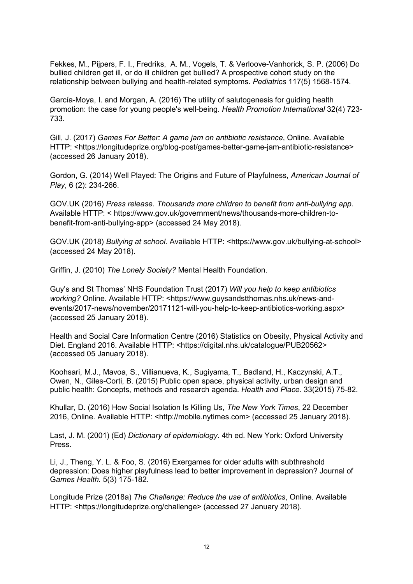[Fekkes, M.](https://www.ncbi.nlm.nih.gov/pubmed/?term=Fekkes%20M%5BAuthor%5D&cauthor=true&cauthor_uid=16651310), [Pijpers, F. I.](https://www.ncbi.nlm.nih.gov/pubmed/?term=Pijpers%20FI%5BAuthor%5D&cauthor=true&cauthor_uid=16651310), [Fredriks, A. M.](https://www.ncbi.nlm.nih.gov/pubmed/?term=Fredriks%20AM%5BAuthor%5D&cauthor=true&cauthor_uid=16651310), [Vogels, T.](https://www.ncbi.nlm.nih.gov/pubmed/?term=Vogels%20T%5BAuthor%5D&cauthor=true&cauthor_uid=16651310) & [Verloove-Vanhorick, S. P.](https://www.ncbi.nlm.nih.gov/pubmed/?term=Verloove-Vanhorick%20SP%5BAuthor%5D&cauthor=true&cauthor_uid=16651310) (2006) Do bullied children get ill, or do ill children get bullied? A prospective cohort study on the relationship between bullying and health-related symptoms. *Pediatrics* 117(5) 1568-1574.

García-Moya, I. and Morgan, A. (2016) The utility of salutogenesis for guiding health promotion: the case for young people's well-being. *Health Promotion International* 32(4) 723- 733.

Gill, J. (2017) *Games For Better: A game jam on antibiotic resistance*, Online. Available HTTP: <https://longitudeprize.org/blog-post/games-better-game-jam-antibiotic-resistance> (accessed 26 January 2018).

Gordon, G. (2014) Well Played: The Origins and Future of Playfulness, *American Journal of Play*, 6 (2): 234-266.

GOV.UK (2016) *Press release. Thousands more children to benefit from anti-bullying app.* Available HTTP: < [https://www.gov.uk/government/news/thousands-more-children-to](https://www.gov.uk/government/news/thousands-more-children-to-benefit-from-anti-bullying-app)[benefit-from-anti-bullying-app>](https://www.gov.uk/government/news/thousands-more-children-to-benefit-from-anti-bullying-app) (accessed 24 May 2018).

GOV.UK (2018) *Bullying at school*. Available HTTP: <https://www.gov.uk/bullying-at-school> (accessed 24 May 2018).

Griffin, J. (2010) *The Lonely Society?* Mental Health Foundation.

Guy's and St Thomas' NHS Foundation Trust (2017) *Will you help to keep antibiotics working?* Online. Available HTTP: <https://www.guysandstthomas.nhs.uk/news-andevents/2017-news/november/20171121-will-you-help-to-keep-antibiotics-working.aspx> (accessed 25 January 2018).

Health and Social Care Information Centre (2016) Statistics on Obesity, Physical Activity and Diet. England 2016. Available HTTP: [<https://digital.nhs.uk/catalogue/PUB20562>](https://digital.nhs.uk/catalogue/PUB20562) (accessed 05 January 2018).

Koohsari, M.J., Mavoa, S., Villianueva, K., Sugiyama, T., Badland, H., Kaczynski, A.T., Owen, N., Giles-Corti, B. (2015) Public open space, physical activity, urban design and public health: Concepts, methods and research agenda. *Health and Place.* 33(2015) 75-82.

Khullar, D. (2016) How Social Isolation Is Killing Us, *The New York Times*, 22 December 2016, Online. Available HTTP: <http://mobile.nytimes.com> (accessed 25 January 2018).

Last, J. M. (2001) (Ed) *Dictionary of epidemiology*. 4th ed. New York: Oxford University Press.

Li, J., Theng, Y. L. & Foo, S. (2016) Exergames for older adults with subthreshold depression: Does higher playfulness lead to better improvement in depression? Journal of G*ames Health.* 5(3) 175-182.

Longitude Prize (2018a) *The Challenge: Reduce the use of antibiotics*, Online. Available HTTP: <https://longitudeprize.org/challenge> (accessed 27 January 2018).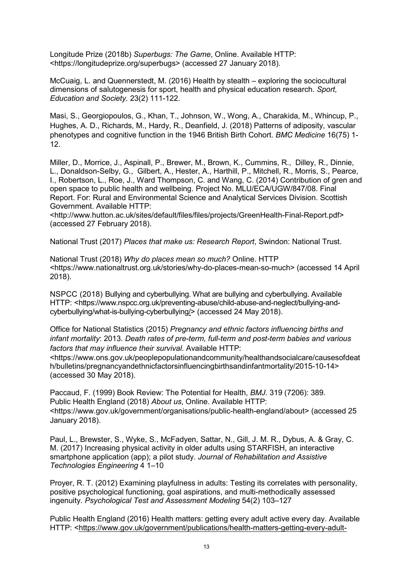Longitude Prize (2018b) *Superbugs: The Game*, Online. Available HTTP: <https://longitudeprize.org/superbugs> (accessed 27 January 2018).

McCuaig, L. and [Quennerstedt,](https://www-tandfonline-com.ezproxy.herts.ac.uk/author/Quennerstedt%2C+Mikael) M. (2016) Health by stealth – exploring the sociocultural dimensions of salutogenesis for sport, health and physical education research. *Sport, Education and Society.* 23(2) 111-122.

[Masi, S.](https://www.ncbi.nlm.nih.gov/pubmed/?term=Masi%20S%5BAuthor%5D&cauthor=true&cauthor_uid=29804545), [Georgiopoulos, G.](https://www.ncbi.nlm.nih.gov/pubmed/?term=Georgiopoulos%20G%5BAuthor%5D&cauthor=true&cauthor_uid=29804545), [Khan, T.](https://www.ncbi.nlm.nih.gov/pubmed/?term=Khan%20T%5BAuthor%5D&cauthor=true&cauthor_uid=29804545), [Johnson, W.](https://www.ncbi.nlm.nih.gov/pubmed/?term=Johnson%20W%5BAuthor%5D&cauthor=true&cauthor_uid=29804545), [Wong, A.](https://www.ncbi.nlm.nih.gov/pubmed/?term=Wong%20A%5BAuthor%5D&cauthor=true&cauthor_uid=29804545), [Charakida, M.](https://www.ncbi.nlm.nih.gov/pubmed/?term=Charakida%20M%5BAuthor%5D&cauthor=true&cauthor_uid=29804545), [Whincup, P.](https://www.ncbi.nlm.nih.gov/pubmed/?term=Whincup%20P%5BAuthor%5D&cauthor=true&cauthor_uid=29804545), [Hughes, A. D.](https://www.ncbi.nlm.nih.gov/pubmed/?term=Hughes%20AD%5BAuthor%5D&cauthor=true&cauthor_uid=29804545), [Richards, M.](https://www.ncbi.nlm.nih.gov/pubmed/?term=Richards%20M%5BAuthor%5D&cauthor=true&cauthor_uid=29804545), [Hardy, R.](https://www.ncbi.nlm.nih.gov/pubmed/?term=Hardy%20R%5BAuthor%5D&cauthor=true&cauthor_uid=29804545), [Deanfield, J.](https://www.ncbi.nlm.nih.gov/pubmed/?term=Deanfield%20J%5BAuthor%5D&cauthor=true&cauthor_uid=29804545) (2018) Patterns of adiposity, vascular phenotypes and cognitive function in the 1946 British Birth Cohort. *BMC Medicine* 16(75) 1- 12.

Miller, D., Morrice, J., Aspinall, P., Brewer, M., Brown, K., Cummins, R., Dilley, R., Dinnie, L., Donaldson-Selby, G., Gilbert, A., Hester, A., Harthill, P., Mitchell, R., Morris, S., Pearce, I., Robertson, L., Roe, J., Ward Thompson, C. and Wang, C. (2014) Contribution of gren and open space to public health and wellbeing. Project No. MLU/ECA/UGW/847/08. Final Report. For: Rural and Environmental Science and Analytical Services Division. Scottish Government. Available HTTP:

[<http://www.hutton.ac.uk/sites/default/files/files/projects/GreenHealth-Final-Report.pdf>](http://www.hutton.ac.uk/sites/default/files/files/projects/GreenHealth-Final-Report.pdf) (accessed 27 February 2018).

National Trust (2017) *Places that make us: Research Report*, Swindon: National Trust.

National Trust (2018) *Why do places mean so much?* Online. HTTP <https://www.nationaltrust.org.uk/stories/why-do-places-mean-so-much> (accessed 14 April 2018).

NSPCC (2018) Bullying and cyberbullying. What are bullying and cyberbullying. Available HTTP: [<https://www.nspcc.org.uk/preventing-abuse/child-abuse-and-neglect/bullying-and](https://www.nspcc.org.uk/preventing-abuse/child-abuse-and-neglect/bullying-and-cyberbullying/what-is-bullying-cyberbullying/)[cyberbullying/what-is-bullying-cyberbullying/>](https://www.nspcc.org.uk/preventing-abuse/child-abuse-and-neglect/bullying-and-cyberbullying/what-is-bullying-cyberbullying/) (accessed 24 May 2018).

Office for National Statistics (2015) *Pregnancy and ethnic factors influencing births and infant mortality*: 2013. *Death rates of pre-term, full-term and post-term babies and various factors that may influence their survival.* Available HTTP:

[<https://www.ons.gov.uk/peoplepopulationandcommunity/healthandsocialcare/causesofdeat](https://www.ons.gov.uk/peoplepopulationandcommunity/healthandsocialcare/causesofdeath/bulletins/pregnancyandethnicfactorsinfluencingbirthsandinfantmortality/2015-10-14) [h/bulletins/pregnancyandethnicfactorsinfluencingbirthsandinfantmortality/2015-10-14>](https://www.ons.gov.uk/peoplepopulationandcommunity/healthandsocialcare/causesofdeath/bulletins/pregnancyandethnicfactorsinfluencingbirthsandinfantmortality/2015-10-14) (accessed 30 May 2018).

Paccaud, F. (1999) Book Review: The Potential for Health, *BMJ*. 319 (7206): 389. Public Health England (2018) *About us*, Online. Available HTTP: <https://www.gov.uk/government/organisations/public-health-england/about> (accessed 25 January 2018).

Paul, L., Brewster, S., Wyke, S., McFadyen, Sattar, N., Gill, J. M. R., Dybus, A. & Gray, C. M. (2017) Increasing physical activity in older adults using STARFISH, an interactive smartphone application (app); a pilot study. *Journal of Rehabilitation and Assistive Technologies Engineering* 4 1–10

Proyer, R. T. (2012) Examining playfulness in adults: Testing its correlates with personality, positive psychological functioning, goal aspirations, and multi-methodically assessed ingenuity. *Psychological Test and Assessment Modeling* 54(2) 103–127

Public Health England (2016) Health matters: getting every adult active every day. Available HTTP: [<https://www.gov.uk/government/publications/health-matters-getting-every-adult-](https://www.gov.uk/government/publications/health-matters-getting-every-adult-active-every-day/health-matters-getting-every-adult-active-every-day)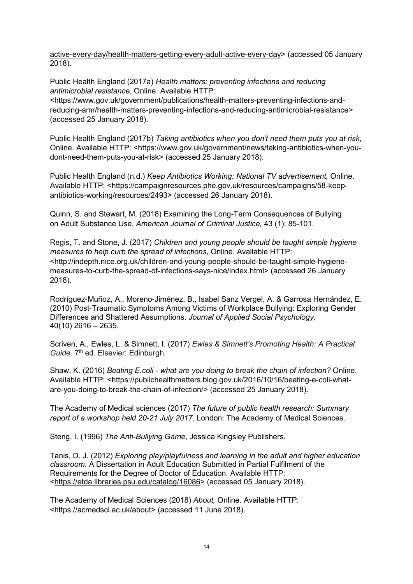[active-every-day/health-matters-getting-every-adult-active-every-day>](https://www.gov.uk/government/publications/health-matters-getting-every-adult-active-every-day/health-matters-getting-every-adult-active-every-day) (accessed 05 January 2018).

Public Health England (2017a) *Health matters: preventing infections and reducing antimicrobial resistance*, Online. Available HTTP: <https://www.gov.uk/government/publications/health-matters-preventing-infections-andreducing-amr/health-matters-preventing-infections-and-reducing-antimicrobial-resistance> (accessed 25 January 2018).

Public Health England (2017b) *Taking antibiotics when you don't need them puts you at risk*, Online. Available HTTP: <https://www.gov.uk/government/news/taking-antibiotics-when-youdont-need-them-puts-you-at-risk> (accessed 25 January 2018).

Public Health England (n.d.) *Keep Antibiotics Working: National TV advertisement,* Online. Available HTTP: <https://campaignresources.phe.gov.uk/resources/campaigns/58-keepantibiotics-working/resources/2493> (accessed 26 January 2018).

Quinn, S. and Stewart, M. (2018) Examining the Long-Term Consequences of Bullying on Adult Substance Use, *American Journal of Criminal Justice,* 43 (1): 85-101.

Regis, T. and Stone, J. (2017) *Children and young people should be taught simple hygiene measures to help curb the spread of infections*, Online. Available HTTP: <http://indepth.nice.org.uk/children-and-young-people-should-be-taught-simple-hygienemeasures-to-curb-the-spread-of-infections-says-nice/index.html> (accessed 26 January 2018).

[Rodríguez](https://onlinelibrary.wiley.com/action/doSearch?ContribAuthorStored=Rodr%C3%ADguez-Mu%C3%B1oz%2C+Alfredo)‐Muñoz, A., Moreno‐[Jiménez,](https://onlinelibrary.wiley.com/action/doSearch?ContribAuthorStored=Moreno-Jim%C3%A9nez%2C+Bernardo) B., [Isabel Sanz Vergel,](https://onlinelibrary.wiley.com/action/doSearch?ContribAuthorStored=Sanz+Vergel%2C+Ana+Isabel) A. & [Garrosa Hernández,](https://onlinelibrary.wiley.com/action/doSearch?ContribAuthorStored=Garrosa+Hern%C3%A1ndez%2C+Eva) E. (2010) Post‐Traumatic Symptoms Among Victims of Workplace Bullying: Exploring Gender Differences and Shattered Assumptions. *Journal of Applied Social Psychology,* 40(10) 2616 – 2635.

Scriven, A., Ewles, L. & Simnett, I. (2017) *Ewles & Simnett's Promoting Health: A Practical*  Guide. 7<sup>th</sup> ed. Elsevier: Edinburgh.

Shaw, K. (2016) *Beating E.coli - what are you doing to break the chain of infection?* Online. Available HTTP: <https://publichealthmatters.blog.gov.uk/2016/10/16/beating-e-coli-whatare-you-doing-to-break-the-chain-of-infection/> (accessed 25 January 2018).

The Academy of Medical sciences (2017) *The future of public health research: Summary report of a workshop held 20-21 July 2017,* London: The Academy of Medical Sciences.

Steng, I. (1996) *The Anti-Bullying Game*, Jessica Kingsley Publishers.

Tanis, D. J. (2012) *Exploring play/playfulness and learning in the adult and higher education classroom.* A Dissertation in Adult Education Submitted in Partial Fulfilment of the Requirements for the Degree of Doctor of Education. Available HTTP: [<https://etda.libraries.psu.edu/catalog/16086>](https://etda.libraries.psu.edu/catalog/16086) (accessed 05 January 2018).

The Academy of Medical Sciences (2018) *About,* Online. Available HTTP: <https://acmedsci.ac.uk/about> (accessed 11 June 2018).